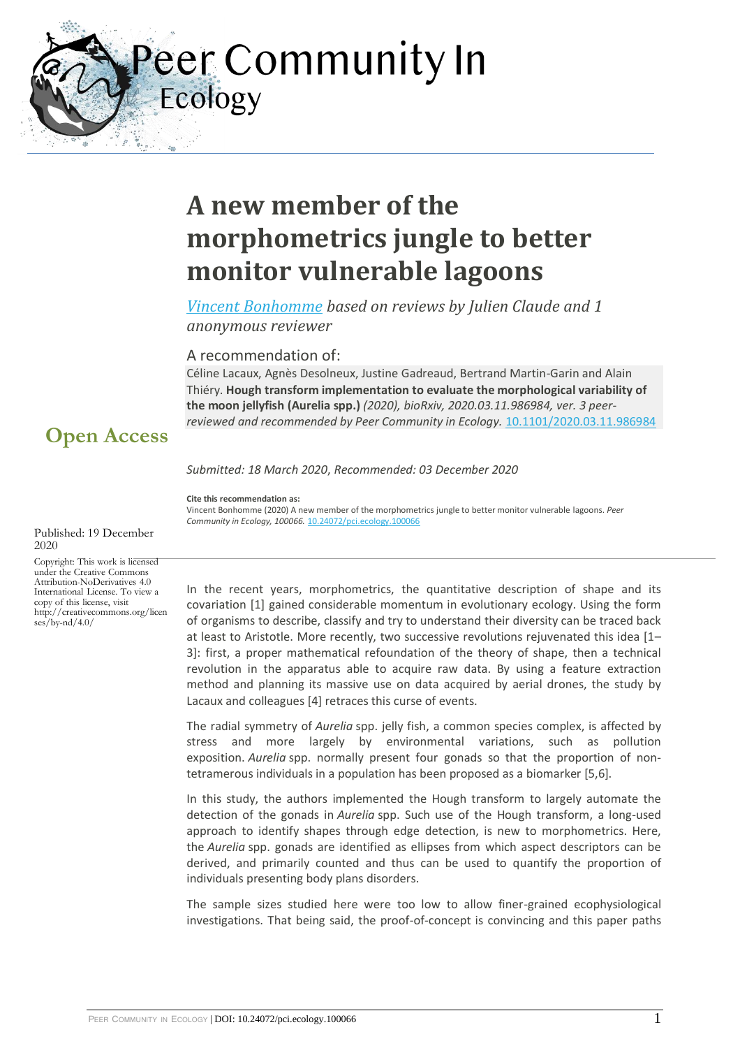Peer Community In Ecology

# **A new member of the morphometrics jungle to better monitor vulnerable lagoons**

*[Vincent Bonhomme](https://ecology.peercommunityin.org/public/viewUserCard?userId=178) based on reviews by Julien Claude and 1 anonymous reviewer*

#### A recommendation of:

Céline Lacaux, Agnès Desolneux, Justine Gadreaud, Bertrand Martin-Garin and Alain Thiéry. **Hough transform implementation to evaluate the morphological variability of the moon jellyfish (Aurelia spp.)** *(2020), bioRxiv, 2020.03.11.986984, ver. 3 peerreviewed and recommended by Peer Community in Ecology.* [10.1101/2020.03.11.986984](https://doi.org/10.1101/2020.03.11.986984)

## **Open Access**

*Submitted: 18 March 2020*, *Recommended: 03 December 2020*

**Cite this recommendation as:**

Vincent Bonhomme (2020) A new member of the morphometrics jungle to better monitor vulnerable lagoons. *Peer Community in Ecology, 100066.* [10.24072/pci.ecology.100066](https://doi.org/10.24072/pci.ecology.100066)

2020 Copyright: This work is licensed under the Creative Commons Attribution-NoDerivatives 4.0 International License. To view a copy of this license, visit http://creativecommons.org/licen  $ses/bv-nd/4.0/$ 

Published: 19 December

In the recent years, morphometrics, the quantitative description of shape and its covariation [1] gained considerable momentum in evolutionary ecology. Using the form of organisms to describe, classify and try to understand their diversity can be traced back at least to Aristotle. More recently, two successive revolutions rejuvenated this idea [1– 3]: first, a proper mathematical refoundation of the theory of shape, then a technical revolution in the apparatus able to acquire raw data. By using a feature extraction method and planning its massive use on data acquired by aerial drones, the study by Lacaux and colleagues [4] retraces this curse of events.

The radial symmetry of *Aurelia* spp. jelly fish, a common species complex, is affected by stress and more largely by environmental variations, such as pollution exposition. *Aurelia* spp. normally present four gonads so that the proportion of nontetramerous individuals in a population has been proposed as a biomarker [5,6].

In this study, the authors implemented the Hough transform to largely automate the detection of the gonads in *Aurelia* spp. Such use of the Hough transform, a long-used approach to identify shapes through edge detection, is new to morphometrics. Here, the *Aurelia* spp. gonads are identified as ellipses from which aspect descriptors can be derived, and primarily counted and thus can be used to quantify the proportion of individuals presenting body plans disorders.

The sample sizes studied here were too low to allow finer-grained ecophysiological investigations. That being said, the proof-of-concept is convincing and this paper paths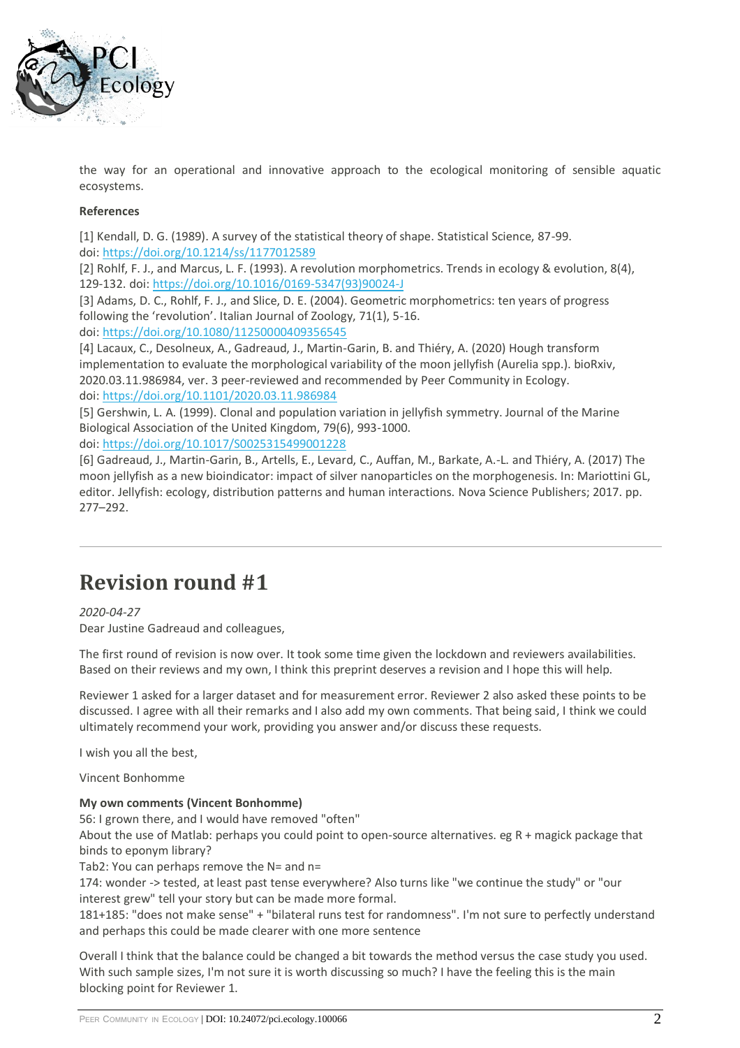

the way for an operational and innovative approach to the ecological monitoring of sensible aquatic ecosystems.

#### **References**

[1] Kendall, D. G. (1989). A survey of the statistical theory of shape. Statistical Science, 87-99. doi: <https://doi.org/10.1214/ss/1177012589>

[2] Rohlf, F. J., and Marcus, L. F. (1993). A revolution morphometrics. Trends in ecology & evolution, 8(4), 129-132. doi: [https://doi.org/10.1016/0169-5347\(93\)90024-J](https://doi.org/10.1016/0169-5347(93)90024-J)

[3] Adams, D. C., Rohlf, F. J., and Slice, D. E. (2004). Geometric morphometrics: ten years of progress following the 'revolution'. Italian Journal of Zoology, 71(1), 5-16. doi: <https://doi.org/10.1080/11250000409356545>

[4] Lacaux, C., Desolneux, A., Gadreaud, J., Martin-Garin, B. and Thiéry, A. (2020) Hough transform implementation to evaluate the morphological variability of the moon jellyfish (Aurelia spp.). bioRxiv, 2020.03.11.986984, ver. 3 peer-reviewed and recommended by Peer Community in Ecology. doi: <https://doi.org/10.1101/2020.03.11.986984>

[5] Gershwin, L. A. (1999). Clonal and population variation in jellyfish symmetry. Journal of the Marine Biological Association of the United Kingdom, 79(6), 993-1000.

doi: <https://doi.org/10.1017/S0025315499001228>

[6] Gadreaud, J., Martin-Garin, B., Artells, E., Levard, C., Auffan, M., Barkate, A.-L. and Thiéry, A. (2017) The moon jellyfish as a new bioindicator: impact of silver nanoparticles on the morphogenesis. In: Mariottini GL, editor. Jellyfish: ecology, distribution patterns and human interactions. Nova Science Publishers; 2017. pp. 277–292.

# **Revision round #1**

*2020-04-27*

Dear Justine Gadreaud and colleagues,

The first round of revision is now over. It took some time given the lockdown and reviewers availabilities. Based on their reviews and my own, I think this preprint deserves a revision and I hope this will help.

Reviewer 1 asked for a larger dataset and for measurement error. Reviewer 2 also asked these points to be discussed. I agree with all their remarks and I also add my own comments. That being said, I think we could ultimately recommend your work, providing you answer and/or discuss these requests.

I wish you all the best,

Vincent Bonhomme

#### **My own comments (Vincent Bonhomme)**

56: I grown there, and I would have removed "often"

About the use of Matlab: perhaps you could point to open-source alternatives. eg R + magick package that binds to eponym library?

Tab2: You can perhaps remove the N= and n=

174: wonder -> tested, at least past tense everywhere? Also turns like "we continue the study" or "our interest grew" tell your story but can be made more formal.

181+185: "does not make sense" + "bilateral runs test for randomness". I'm not sure to perfectly understand and perhaps this could be made clearer with one more sentence

Overall I think that the balance could be changed a bit towards the method versus the case study you used. With such sample sizes, I'm not sure it is worth discussing so much? I have the feeling this is the main blocking point for Reviewer 1.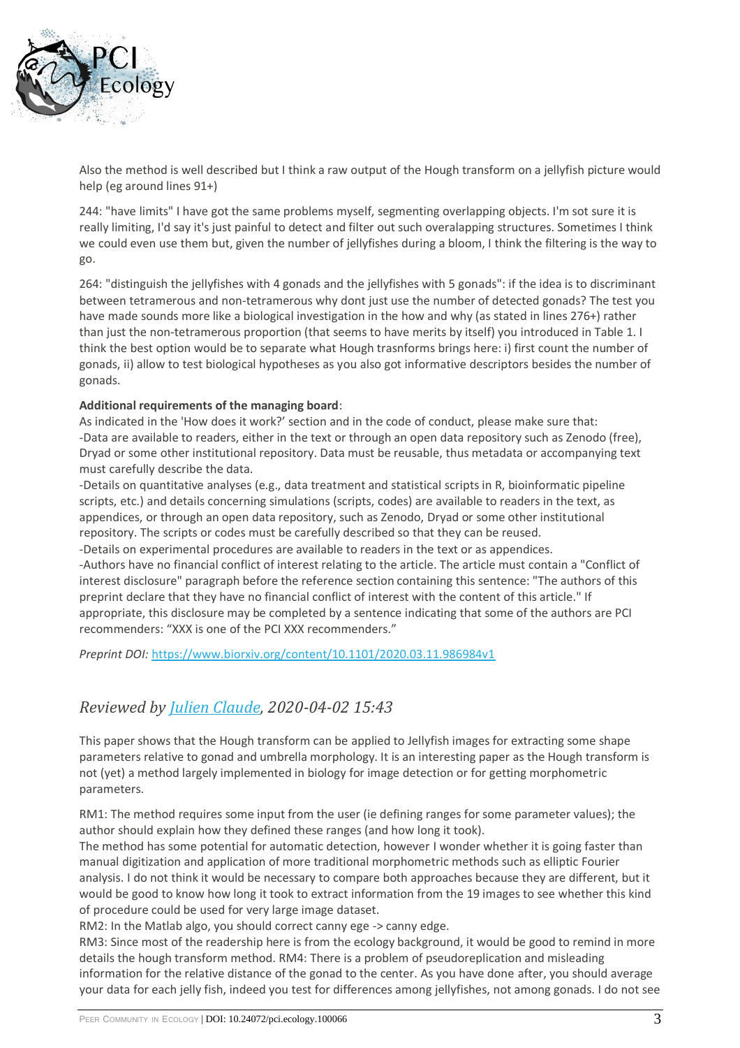

Also the method is well described but I think a raw output of the Hough transform on a jellyfish picture would help (eg around lines 91+)

244: "have limits" I have got the same problems myself, segmenting overlapping objects. I'm sot sure it is really limiting, I'd say it's just painful to detect and filter out such overalapping structures. Sometimes I think we could even use them but, given the number of jellyfishes during a bloom, I think the filtering is the way to go.

264: "distinguish the jellyfishes with 4 gonads and the jellyfishes with 5 gonads": if the idea is to discriminant between tetramerous and non-tetramerous why dont just use the number of detected gonads? The test you have made sounds more like a biological investigation in the how and why (as stated in lines 276+) rather than just the non-tetramerous proportion (that seems to have merits by itself) you introduced in Table 1. I think the best option would be to separate what Hough trasnforms brings here: i) first count the number of gonads, ii) allow to test biological hypotheses as you also got informative descriptors besides the number of gonads.

#### **Additional requirements of the managing board**:

As indicated in the 'How does it work?' section and in the code of conduct, please make sure that: -Data are available to readers, either in the text or through an open data repository such as Zenodo (free), Dryad or some other institutional repository. Data must be reusable, thus metadata or accompanying text must carefully describe the data.

-Details on quantitative analyses (e.g., data treatment and statistical scripts in R, bioinformatic pipeline scripts, etc.) and details concerning simulations (scripts, codes) are available to readers in the text, as appendices, or through an open data repository, such as Zenodo, Dryad or some other institutional repository. The scripts or codes must be carefully described so that they can be reused.

-Details on experimental procedures are available to readers in the text or as appendices. -Authors have no financial conflict of interest relating to the article. The article must contain a "Conflict of interest disclosure" paragraph before the reference section containing this sentence: "The authors of this preprint declare that they have no financial conflict of interest with the content of this article." If appropriate, this disclosure may be completed by a sentence indicating that some of the authors are PCI recommenders: "XXX is one of the PCI XXX recommenders."

*Preprint DOI:* <https://www.biorxiv.org/content/10.1101/2020.03.11.986984v1>

### *Reviewed by [Julien Claude,](https://ecology.peercommunityin.org/public/viewUserCard?userId=1230) 2020-04-02 15:43*

This paper shows that the Hough transform can be applied to Jellyfish images for extracting some shape parameters relative to gonad and umbrella morphology. It is an interesting paper as the Hough transform is not (yet) a method largely implemented in biology for image detection or for getting morphometric parameters.

RM1: The method requires some input from the user (ie defining ranges for some parameter values); the author should explain how they defined these ranges (and how long it took).

The method has some potential for automatic detection, however I wonder whether it is going faster than manual digitization and application of more traditional morphometric methods such as elliptic Fourier analysis. I do not think it would be necessary to compare both approaches because they are different, but it would be good to know how long it took to extract information from the 19 images to see whether this kind of procedure could be used for very large image dataset.

RM2: In the Matlab algo, you should correct canny ege -> canny edge.

RM3: Since most of the readership here is from the ecology background, it would be good to remind in more details the hough transform method. RM4: There is a problem of pseudoreplication and misleading information for the relative distance of the gonad to the center. As you have done after, you should average your data for each jelly fish, indeed you test for differences among jellyfishes, not among gonads. I do not see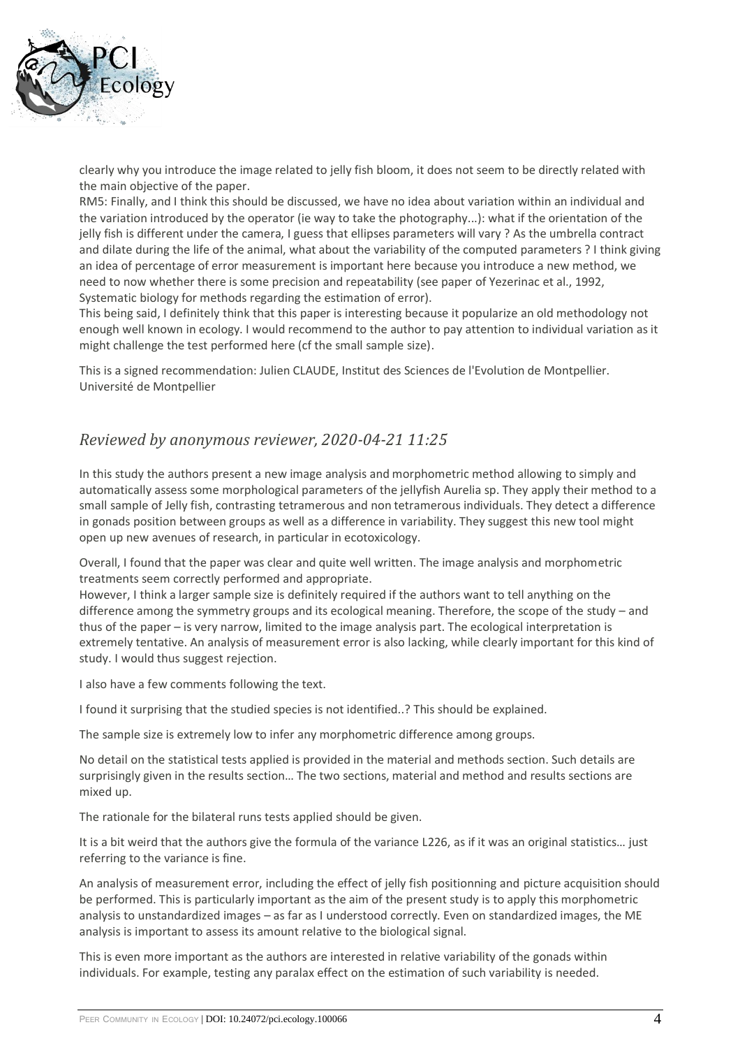

clearly why you introduce the image related to jelly fish bloom, it does not seem to be directly related with the main objective of the paper.

RM5: Finally, and I think this should be discussed, we have no idea about variation within an individual and the variation introduced by the operator (ie way to take the photography...): what if the orientation of the jelly fish is different under the camera, I guess that ellipses parameters will vary ? As the umbrella contract and dilate during the life of the animal, what about the variability of the computed parameters ? I think giving an idea of percentage of error measurement is important here because you introduce a new method, we need to now whether there is some precision and repeatability (see paper of Yezerinac et al., 1992, Systematic biology for methods regarding the estimation of error).

This being said, I definitely think that this paper is interesting because it popularize an old methodology not enough well known in ecology. I would recommend to the author to pay attention to individual variation as it might challenge the test performed here (cf the small sample size).

This is a signed recommendation: Julien CLAUDE, Institut des Sciences de l'Evolution de Montpellier. Université de Montpellier

### *Reviewed by anonymous reviewer, 2020-04-21 11:25*

In this study the authors present a new image analysis and morphometric method allowing to simply and automatically assess some morphological parameters of the jellyfish Aurelia sp. They apply their method to a small sample of Jelly fish, contrasting tetramerous and non tetramerous individuals. They detect a difference in gonads position between groups as well as a difference in variability. They suggest this new tool might open up new avenues of research, in particular in ecotoxicology.

Overall, I found that the paper was clear and quite well written. The image analysis and morphometric treatments seem correctly performed and appropriate.

However, I think a larger sample size is definitely required if the authors want to tell anything on the difference among the symmetry groups and its ecological meaning. Therefore, the scope of the study – and thus of the paper – is very narrow, limited to the image analysis part. The ecological interpretation is extremely tentative. An analysis of measurement error is also lacking, while clearly important for this kind of study. I would thus suggest rejection.

I also have a few comments following the text.

I found it surprising that the studied species is not identified..? This should be explained.

The sample size is extremely low to infer any morphometric difference among groups.

No detail on the statistical tests applied is provided in the material and methods section. Such details are surprisingly given in the results section… The two sections, material and method and results sections are mixed up.

The rationale for the bilateral runs tests applied should be given.

It is a bit weird that the authors give the formula of the variance L226, as if it was an original statistics... just referring to the variance is fine.

An analysis of measurement error, including the effect of jelly fish positionning and picture acquisition should be performed. This is particularly important as the aim of the present study is to apply this morphometric analysis to unstandardized images – as far as I understood correctly. Even on standardized images, the ME analysis is important to assess its amount relative to the biological signal.

This is even more important as the authors are interested in relative variability of the gonads within individuals. For example, testing any paralax effect on the estimation of such variability is needed.